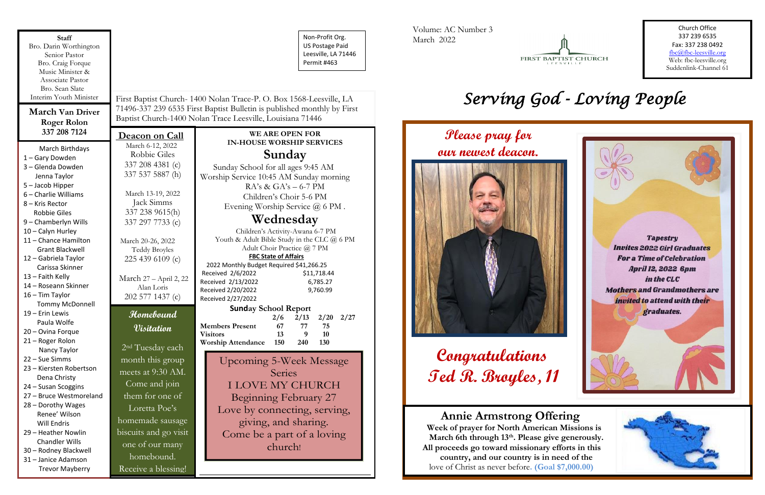Non-Profit Org. US Postage Paid Leesville, LA 71446 Permit #463

**WE ARE OPEN FOR** 

**IN-HOUSE WORSHIP SERVICES Sunday** Sunday School for all ages 9:45 AM Worship Service 10:45 AM Sunday morning RA's & GA's – 6-7 PM Children's Choir 5-6 PM Evening Worship Service @ 6 PM . **Wednesday** Children's Activity-Awana 6-7 PM Youth & Adult Bible Study in the CLC  $@$  6 PM Adult Choir Practice @ 7 PM **FBC State of Affairs** 2022 Monthly Budget Required \$41,266.25

| Received 2/6/2022           | \$11,718.44                |  |  |  |
|-----------------------------|----------------------------|--|--|--|
| Received 2/13/2022          | 6,785.27                   |  |  |  |
| Received 2/20/2022          | 9,760.99                   |  |  |  |
| Received 2/27/2022          |                            |  |  |  |
| <b>Sunday School Report</b> |                            |  |  |  |
|                             | $2/6$ $2/13$ $2/20$ $2/27$ |  |  |  |

| 67 | 77                            | 75         |                           |
|----|-------------------------------|------------|---------------------------|
| 13 | <sup>O</sup>                  | 10         |                           |
|    | <b>240</b>                    | <b>130</b> |                           |
|    | <b>Worship Attendance</b> 150 |            | $2/0$ $2/13$ $2/20$ $2/2$ |

March Birthdays

1 – Gary Dowden

- 3 Glenda Dowden Jenna Taylor
- 5 Jacob Hipper
- 6 Charlie Williams 8 – Kris Rector Robbie Giles
- 9 Chamberlyn Wills
- 10 Calyn Hurley
- Ending Channel Grant Blackwell 11 – Chance Hamilton
	- 12 Gabriela Taylor Carissa Skinner
	- 13 Faith Kelly
	- 14 Roseann Skinner
	- 16 Tim Taylor Tommy McDonnell
	- 19 Erin Lewis Paula Wolfe
	- 20 Ovina Forque
	- 21 Roger Rolon Nancy Taylor
	- 22 Sue Simms
	- 23 Kiersten Robertson Dena Christy
	- 24 Susan Scoggins
	- 27 Bruce Westmoreland
	- 28 Dorothy Wages Renee' Wilson Will Endris
	- 29 Heather Nowlin Chandler Wills
	- 30 Rodney Blackwell 31 – Janice Adamson

Trevor Mayberry

2<sup>nd</sup> Tuesday each month this group meets at 9:30 AM.

**Deacon on Call** March 6-12, 2022 Robbie Giles 337 208 4381 (c) 337 537 5887 (h)

> March 13-19, 2022 Jack Simms 337 238 9615(h) 337 297 7733 (c)

 March 20-26, 2022 Teddy Broyles 225 439 6109 (c)

March 27 – April 2, 22 Alan Loris 202 577 1437 (c)

First Baptist Church- 1400 Nolan Trace-P. O. Box 1568-Leesville, LA 71496-337 239 6535 First Baptist Bulletin is published monthly by First

Baptist Church-1400 Nolan Trace Leesville, Louisiana 71446

**March Van Driver Roger Rolon 337 208 7124**

Volume: AC Number 3 March 2022



### **Staff**

Bro. Darin Worthington Senior Pastor Bro. Craig Forque Music Minister & Associate Pastor Bro. Sean Slate Interim Youth Minister

Church Office 337 239 6535 Fax: 337 238 0492 fbc@fbc-leesville.org Web: fbc-leesville.org Suddenlink-Channel 61

# *Serving God - Loving People*



 **Please pray for** 



### **Annie Armstrong Offering**

 **Week of prayer for North American Missions is March 6th through 13th. Please give generously. All proceeds go toward missionary efforts in this country, and our country is in need of the** love of Christ as never before**. (Goal \$7,000.00)** 

Upcoming 5-Week Message Series I LOVE MY CHURCH Beginning February 27 Love by connecting, serving, giving, and sharing. Come be a part of a loving church!

**Homebound** 

**Visitation**

Come and join them for one of Loretta Poe's homemade sausage biscuits and go visit

one of our many homebound.

Receive a blessing!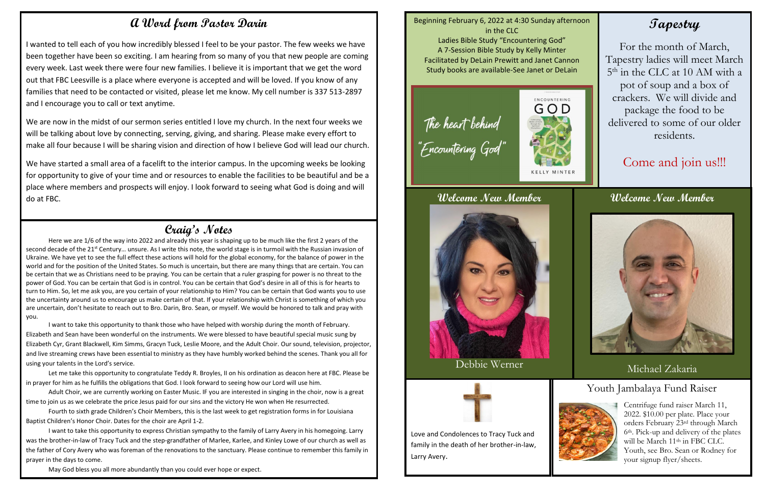### **Craig's Notes**

Here we are 1/6 of the way into 2022 and already this year is shaping up to be much like the first 2 years of the second decade of the 21<sup>st</sup> Century... unsure. As I write this note, the world stage is in turmoil with the Russian invasion of second decade of the 21 Ternary... ansure. As I write this note, the world stage is in turnion with the Nussian invasion of<br>Ukraine. We have yet to see the full effect these actions will hold for the global economy, for th world and for the position of the United States. So much is uncertain, but there are many things that are certain. You can be certain that we as Christians need to be praying. You can be certain that a ruler grasping for power is no threat to the power of God. You can be certain that God is in control. You can be certain that God's desire in all of this is for hearts to turn to Him. So, let me ask you, are you certain of your relationship to Him? You can be certain that God wants you to use the uncertainty around us to encourage us make certain of that. If your relationship with Christ is something of which you are uncertain, don't hesitate to reach out to Bro. Darin, Bro. Sean, or myself. We would be honored to talk and pray with you.

Let me take this opportunity to congratulate Teddy R. Broyles, il on his ordination as deacon here<br>.in prayer for him as he fulfills the obligations that God. I look forward to seeing how our Lord will use him Let me take this opportunity to congratulate Teddy R. Broyles, II on his ordination as deacon here at FBC. Please be

I want to take this opportunity to thank those who have helped with worship during the month of February. Elizabeth and Sean have been wonderful on the instruments. We were blessed to have beautiful special music sung by Elizabeth Cyr, Grant Blackwell, Kim Simms, Gracyn Tuck, Leslie Moore, and the Adult Choir. Our sound, television, projector, and live streaming crews have been essential to ministry as they have humbly worked behind the scenes. Thank you all for using your talents in the Lord's service.

Adult Choir, we are currently working on Easter Music. IF you are interested in singing in the choir, now is a great time to join us as we celebrate the price Jesus paid for our sins and the victory He won when He resurrected.

Fourth to sixth grade Children's Choir Members, this is the last week to get registration forms in for Louisiana Baptist Children's Honor Choir. Dates for the choir are April 1-2.

I want to take this opportunity to express Christian sympathy to the family of Larry Avery in his homegoing. Larry was the brother-in-law of Tracy Tuck and the step-grandfather of Marlee, Karlee, and Kinley Lowe of our church as well as the father of Cory Avery who was foreman of the renovations to the sanctuary. Please continue to remember this family in prayer in the days to come.

May God bless you all more abundantly than you could ever hope or expect.

### **Welcome New Member**



Debbie Werner



### **Tapestry**

For the month of March, Tapestry ladies will meet March 5 th in the CLC at 10 AM with a pot of soup and a box of crackers. We will divide and package the food to be delivered to some of our older residents.

## Come and join us!!!

Love and Condolences to Tracy Tuck and family in the death of her brother-in-law, Larry Avery.

### **Welcome New Member**



### Michael Zakaria

Beginning February 6, 2022 at 4:30 Sunday afternoon in the CLC Ladies Bible Study "Encountering God" A 7-Session Bible Study by Kelly Minter Facilitated by DeLain Prewitt and Janet Cannon Study books are available-See Janet or DeLain

The heart behind<br>"Encountering God"



### **A Word from Pastor Darin**

I wanted to tell each of you how incredibly blessed I feel to be your pastor. The few weeks we have been together have been so exciting. I am hearing from so many of you that new people are coming every week. Last week there were four new families. I believe it is important that we get the word out that FBC Leesville is a place where everyone is accepted and will be loved. If you know of any families that need to be contacted or visited, please let me know. My cell number is 337 513-2897 and I encourage you to call or text anytime.

We are now in the midst of our sermon series entitled I love my church. In the next four weeks we will be talking about love by connecting, serving, giving, and sharing. Please make every effort to make all four because I will be sharing vision and direction of how I believe God will lead our church.

We have started a small area of a facelift to the interior campus. In the upcoming weeks be looking for opportunity to give of your time and or resources to enable the facilities to be beautiful and be a place where members and prospects will enjoy. I look forward to seeing what God is doing and will do at FBC.

### Youth Jambalaya Fund Raiser



Centrifuge fund raiser March 11, 2022. \$10.00 per plate. Place your orders February 23rd through March 6th. Pick-up and delivery of the plates will be March 11<sup>th</sup> in FBC CLC. Youth, see Bro. Sean or Rodney for your signup flyer/sheets.